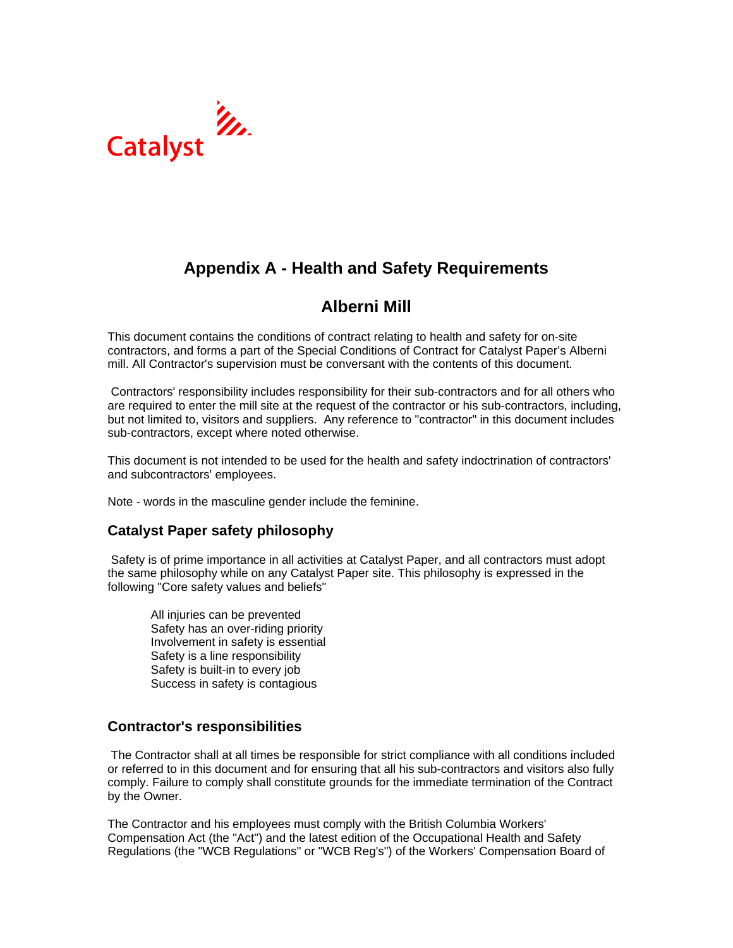

# **Appendix A - Health and Safety Requirements**

# **Alberni Mill**

This document contains the conditions of contract relating to health and safety for on-site contractors, and forms a part of the Special Conditions of Contract for Catalyst Paper's Alberni mill. All Contractor's supervision must be conversant with the contents of this document.

 Contractors' responsibility includes responsibility for their sub-contractors and for all others who are required to enter the mill site at the request of the contractor or his sub-contractors, including, but not limited to, visitors and suppliers. Any reference to "contractor" in this document includes sub-contractors, except where noted otherwise.

This document is not intended to be used for the health and safety indoctrination of contractors' and subcontractors' employees.

Note - words in the masculine gender include the feminine.

# **Catalyst Paper safety philosophy**

Safety is of prime importance in all activities at Catalyst Paper, and all contractors must adopt the same philosophy while on any Catalyst Paper site. This philosophy is expressed in the following "Core safety values and beliefs"

All injuries can be prevented Safety has an over-riding priority Involvement in safety is essential Safety is a line responsibility Safety is built-in to every job Success in safety is contagious

# **Contractor's responsibilities**

The Contractor shall at all times be responsible for strict compliance with all conditions included or referred to in this document and for ensuring that all his sub-contractors and visitors also fully comply. Failure to comply shall constitute grounds for the immediate termination of the Contract by the Owner.

The Contractor and his employees must comply with the British Columbia Workers' Compensation Act (the "Act") and the latest edition of the Occupational Health and Safety Regulations (the "WCB Regulations" or "WCB Reg's") of the Workers' Compensation Board of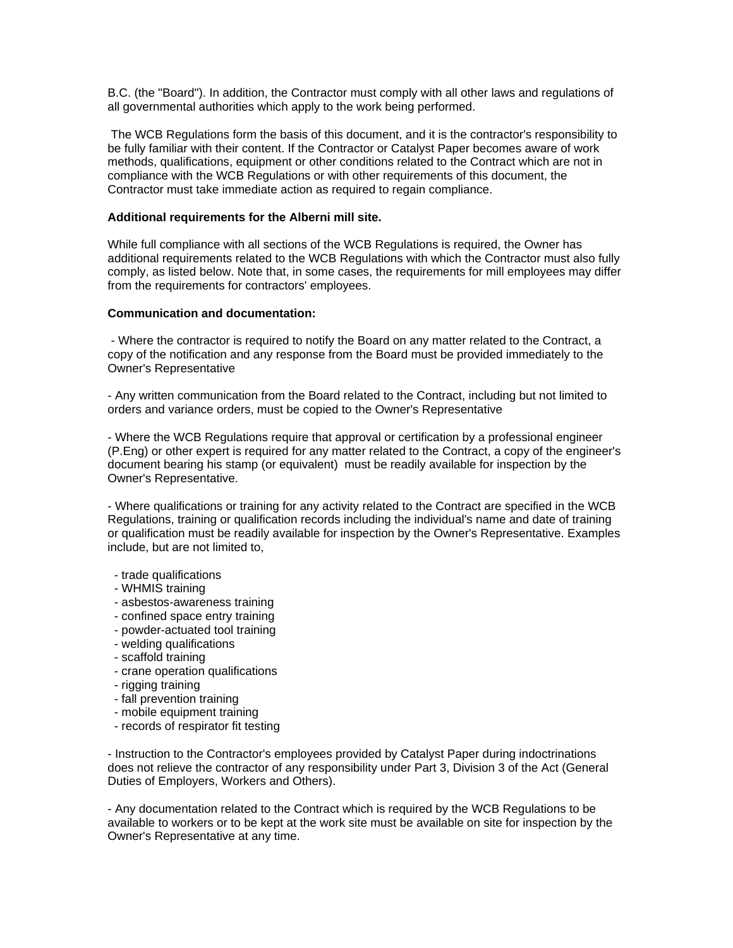B.C. (the "Board"). In addition, the Contractor must comply with all other laws and regulations of all governmental authorities which apply to the work being performed.

 The WCB Regulations form the basis of this document, and it is the contractor's responsibility to be fully familiar with their content. If the Contractor or Catalyst Paper becomes aware of work methods, qualifications, equipment or other conditions related to the Contract which are not in compliance with the WCB Regulations or with other requirements of this document, the Contractor must take immediate action as required to regain compliance.

#### **Additional requirements for the Alberni mill site.**

While full compliance with all sections of the WCB Regulations is required, the Owner has additional requirements related to the WCB Regulations with which the Contractor must also fully comply, as listed below. Note that, in some cases, the requirements for mill employees may differ from the requirements for contractors' employees.

#### **Communication and documentation:**

 - Where the contractor is required to notify the Board on any matter related to the Contract, a copy of the notification and any response from the Board must be provided immediately to the Owner's Representative

- Any written communication from the Board related to the Contract, including but not limited to orders and variance orders, must be copied to the Owner's Representative

- Where the WCB Regulations require that approval or certification by a professional engineer (P.Eng) or other expert is required for any matter related to the Contract, a copy of the engineer's document bearing his stamp (or equivalent) must be readily available for inspection by the Owner's Representative.

- Where qualifications or training for any activity related to the Contract are specified in the WCB Regulations, training or qualification records including the individual's name and date of training or qualification must be readily available for inspection by the Owner's Representative. Examples include, but are not limited to,

- trade qualifications
- WHMIS training
- asbestos-awareness training
- confined space entry training
- powder-actuated tool training
- welding qualifications
- scaffold training
- crane operation qualifications
- rigging training
- fall prevention training
- mobile equipment training
- records of respirator fit testing

- Instruction to the Contractor's employees provided by Catalyst Paper during indoctrinations does not relieve the contractor of any responsibility under Part 3, Division 3 of the Act (General Duties of Employers, Workers and Others).

- Any documentation related to the Contract which is required by the WCB Regulations to be available to workers or to be kept at the work site must be available on site for inspection by the Owner's Representative at any time.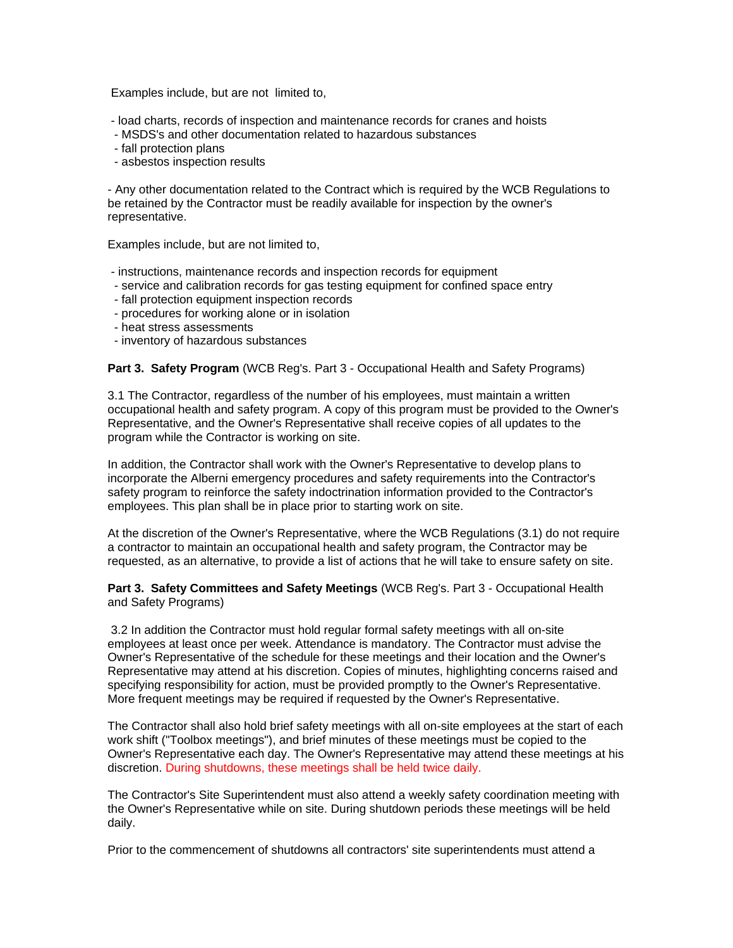Examples include, but are not limited to,

- load charts, records of inspection and maintenance records for cranes and hoists

- MSDS's and other documentation related to hazardous substances
- fall protection plans
- asbestos inspection results

- Any other documentation related to the Contract which is required by the WCB Regulations to be retained by the Contractor must be readily available for inspection by the owner's representative.

Examples include, but are not limited to,

- instructions, maintenance records and inspection records for equipment
- service and calibration records for gas testing equipment for confined space entry
- fall protection equipment inspection records
- procedures for working alone or in isolation
- heat stress assessments
- inventory of hazardous substances

**Part 3. Safety Program** (WCB Reg's. Part 3 - Occupational Health and Safety Programs)

3.1 The Contractor, regardless of the number of his employees, must maintain a written occupational health and safety program. A copy of this program must be provided to the Owner's Representative, and the Owner's Representative shall receive copies of all updates to the program while the Contractor is working on site.

In addition, the Contractor shall work with the Owner's Representative to develop plans to incorporate the Alberni emergency procedures and safety requirements into the Contractor's safety program to reinforce the safety indoctrination information provided to the Contractor's employees. This plan shall be in place prior to starting work on site.

At the discretion of the Owner's Representative, where the WCB Regulations (3.1) do not require a contractor to maintain an occupational health and safety program, the Contractor may be requested, as an alternative, to provide a list of actions that he will take to ensure safety on site.

**Part 3. Safety Committees and Safety Meetings** (WCB Reg's. Part 3 - Occupational Health and Safety Programs)

 3.2 In addition the Contractor must hold regular formal safety meetings with all on-site employees at least once per week. Attendance is mandatory. The Contractor must advise the Owner's Representative of the schedule for these meetings and their location and the Owner's Representative may attend at his discretion. Copies of minutes, highlighting concerns raised and specifying responsibility for action, must be provided promptly to the Owner's Representative. More frequent meetings may be required if requested by the Owner's Representative.

The Contractor shall also hold brief safety meetings with all on-site employees at the start of each work shift ("Toolbox meetings"), and brief minutes of these meetings must be copied to the Owner's Representative each day. The Owner's Representative may attend these meetings at his discretion. During shutdowns, these meetings shall be held twice daily.

The Contractor's Site Superintendent must also attend a weekly safety coordination meeting with the Owner's Representative while on site. During shutdown periods these meetings will be held daily.

Prior to the commencement of shutdowns all contractors' site superintendents must attend a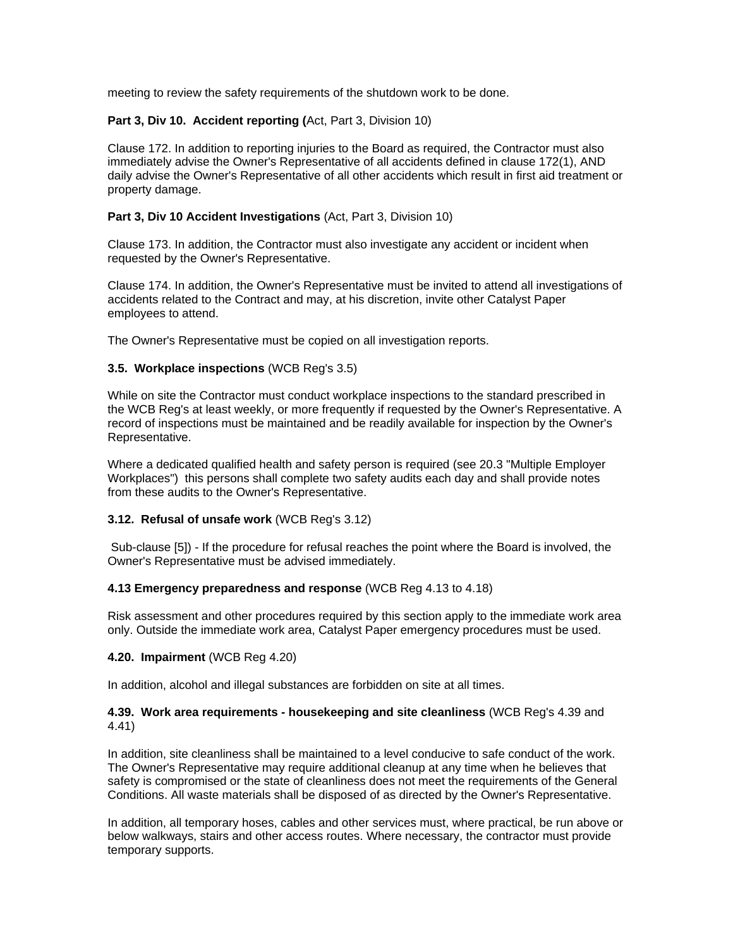meeting to review the safety requirements of the shutdown work to be done.

## **Part 3, Div 10. Accident reporting (**Act, Part 3, Division 10)

Clause 172. In addition to reporting injuries to the Board as required, the Contractor must also immediately advise the Owner's Representative of all accidents defined in clause 172(1), AND daily advise the Owner's Representative of all other accidents which result in first aid treatment or property damage.

## **Part 3, Div 10 Accident Investigations** (Act, Part 3, Division 10)

Clause 173. In addition, the Contractor must also investigate any accident or incident when requested by the Owner's Representative.

Clause 174. In addition, the Owner's Representative must be invited to attend all investigations of accidents related to the Contract and may, at his discretion, invite other Catalyst Paper employees to attend.

The Owner's Representative must be copied on all investigation reports.

## **3.5. Workplace inspections** (WCB Reg's 3.5)

While on site the Contractor must conduct workplace inspections to the standard prescribed in the WCB Reg's at least weekly, or more frequently if requested by the Owner's Representative. A record of inspections must be maintained and be readily available for inspection by the Owner's Representative.

Where a dedicated qualified health and safety person is required (see 20.3 "Multiple Employer Workplaces") this persons shall complete two safety audits each day and shall provide notes from these audits to the Owner's Representative.

#### **3.12. Refusal of unsafe work** (WCB Reg's 3.12)

Sub-clause [5]) - If the procedure for refusal reaches the point where the Board is involved, the Owner's Representative must be advised immediately.

#### **4.13 Emergency preparedness and response** (WCB Reg 4.13 to 4.18)

Risk assessment and other procedures required by this section apply to the immediate work area only. Outside the immediate work area, Catalyst Paper emergency procedures must be used.

#### **4.20. Impairment** (WCB Reg 4.20)

In addition, alcohol and illegal substances are forbidden on site at all times.

## **4.39. Work area requirements - housekeeping and site cleanliness** (WCB Reg's 4.39 and 4.41)

In addition, site cleanliness shall be maintained to a level conducive to safe conduct of the work. The Owner's Representative may require additional cleanup at any time when he believes that safety is compromised or the state of cleanliness does not meet the requirements of the General Conditions. All waste materials shall be disposed of as directed by the Owner's Representative.

In addition, all temporary hoses, cables and other services must, where practical, be run above or below walkways, stairs and other access routes. Where necessary, the contractor must provide temporary supports.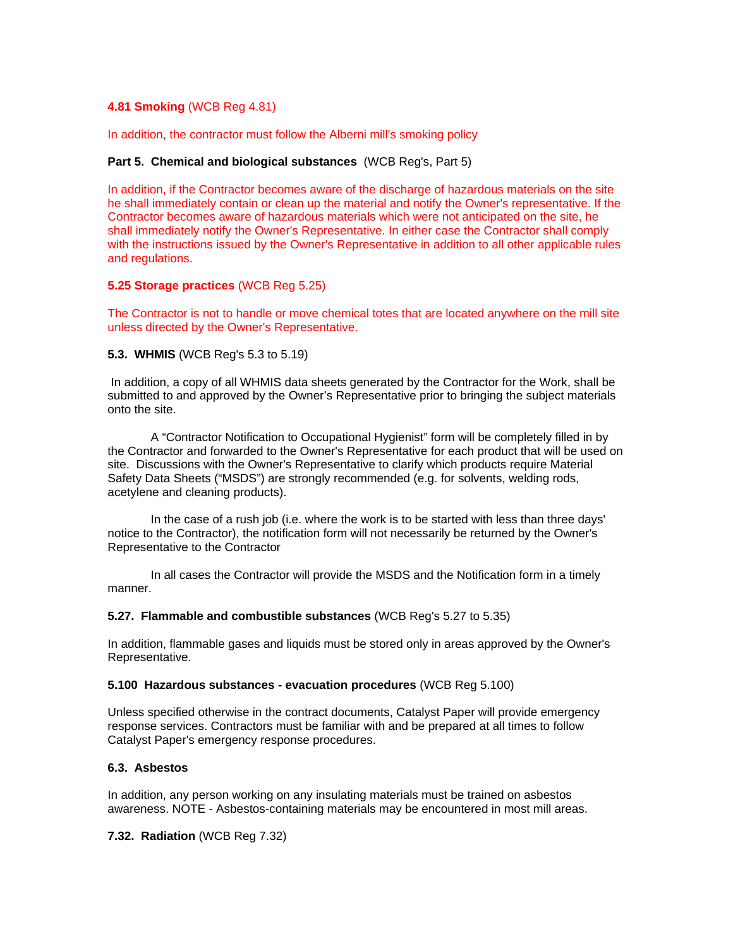#### **4.81 Smoking** (WCB Reg 4.81)

In addition, the contractor must follow the Alberni mill's smoking policy

#### **Part 5. Chemical and biological substances** (WCB Reg's, Part 5)

In addition, if the Contractor becomes aware of the discharge of hazardous materials on the site he shall immediately contain or clean up the material and notify the Owner's representative. If the Contractor becomes aware of hazardous materials which were not anticipated on the site, he shall immediately notify the Owner's Representative. In either case the Contractor shall comply with the instructions issued by the Owner's Representative in addition to all other applicable rules and regulations.

#### **5.25 Storage practices** (WCB Reg 5.25)

The Contractor is not to handle or move chemical totes that are located anywhere on the mill site unless directed by the Owner's Representative.

## **5.3. WHMIS** (WCB Reg's 5.3 to 5.19)

In addition, a copy of all WHMIS data sheets generated by the Contractor for the Work, shall be submitted to and approved by the Owner's Representative prior to bringing the subject materials onto the site.

A "Contractor Notification to Occupational Hygienist" form will be completely filled in by the Contractor and forwarded to the Owner's Representative for each product that will be used on site. Discussions with the Owner's Representative to clarify which products require Material Safety Data Sheets ("MSDS") are strongly recommended (e.g. for solvents, welding rods, acetylene and cleaning products).

In the case of a rush job (i.e. where the work is to be started with less than three days' notice to the Contractor), the notification form will not necessarily be returned by the Owner's Representative to the Contractor

In all cases the Contractor will provide the MSDS and the Notification form in a timely manner.

#### **5.27. Flammable and combustible substances** (WCB Reg's 5.27 to 5.35)

In addition, flammable gases and liquids must be stored only in areas approved by the Owner's Representative.

#### **5.100 Hazardous substances - evacuation procedures** (WCB Reg 5.100)

Unless specified otherwise in the contract documents, Catalyst Paper will provide emergency response services. Contractors must be familiar with and be prepared at all times to follow Catalyst Paper's emergency response procedures.

#### **6.3. Asbestos**

In addition, any person working on any insulating materials must be trained on asbestos awareness. NOTE - Asbestos-containing materials may be encountered in most mill areas.

**7.32. Radiation** (WCB Reg 7.32)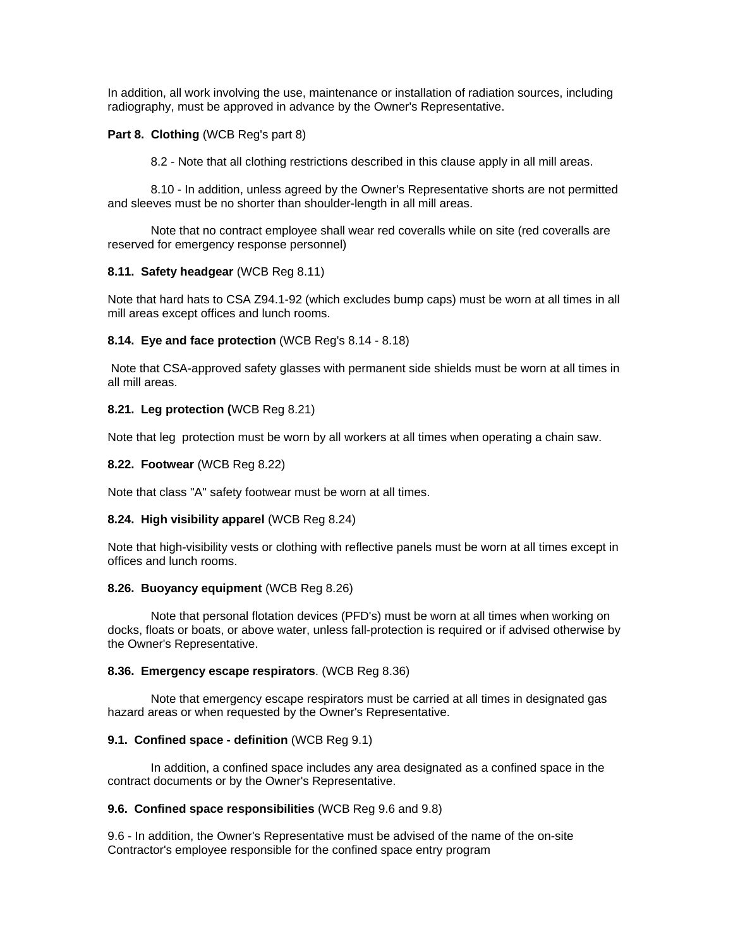In addition, all work involving the use, maintenance or installation of radiation sources, including radiography, must be approved in advance by the Owner's Representative.

## **Part 8. Clothing (WCB Reg's part 8)**

8.2 - Note that all clothing restrictions described in this clause apply in all mill areas.

8.10 - In addition, unless agreed by the Owner's Representative shorts are not permitted and sleeves must be no shorter than shoulder-length in all mill areas.

Note that no contract employee shall wear red coveralls while on site (red coveralls are reserved for emergency response personnel)

#### **8.11. Safety headgear** (WCB Reg 8.11)

Note that hard hats to CSA Z94.1-92 (which excludes bump caps) must be worn at all times in all mill areas except offices and lunch rooms.

#### **8.14. Eye and face protection** (WCB Reg's 8.14 - 8.18)

Note that CSA-approved safety glasses with permanent side shields must be worn at all times in all mill areas.

#### **8.21. Leg protection (**WCB Reg 8.21)

Note that leg protection must be worn by all workers at all times when operating a chain saw.

#### **8.22. Footwear** (WCB Reg 8.22)

Note that class "A" safety footwear must be worn at all times.

#### **8.24. High visibility apparel** (WCB Reg 8.24)

Note that high-visibility vests or clothing with reflective panels must be worn at all times except in offices and lunch rooms.

#### **8.26. Buoyancy equipment** (WCB Reg 8.26)

Note that personal flotation devices (PFD's) must be worn at all times when working on docks, floats or boats, or above water, unless fall-protection is required or if advised otherwise by the Owner's Representative.

#### **8.36. Emergency escape respirators**. (WCB Reg 8.36)

Note that emergency escape respirators must be carried at all times in designated gas hazard areas or when requested by the Owner's Representative.

#### **9.1. Confined space - definition** (WCB Reg 9.1)

In addition, a confined space includes any area designated as a confined space in the contract documents or by the Owner's Representative.

#### **9.6. Confined space responsibilities** (WCB Reg 9.6 and 9.8)

9.6 - In addition, the Owner's Representative must be advised of the name of the on-site Contractor's employee responsible for the confined space entry program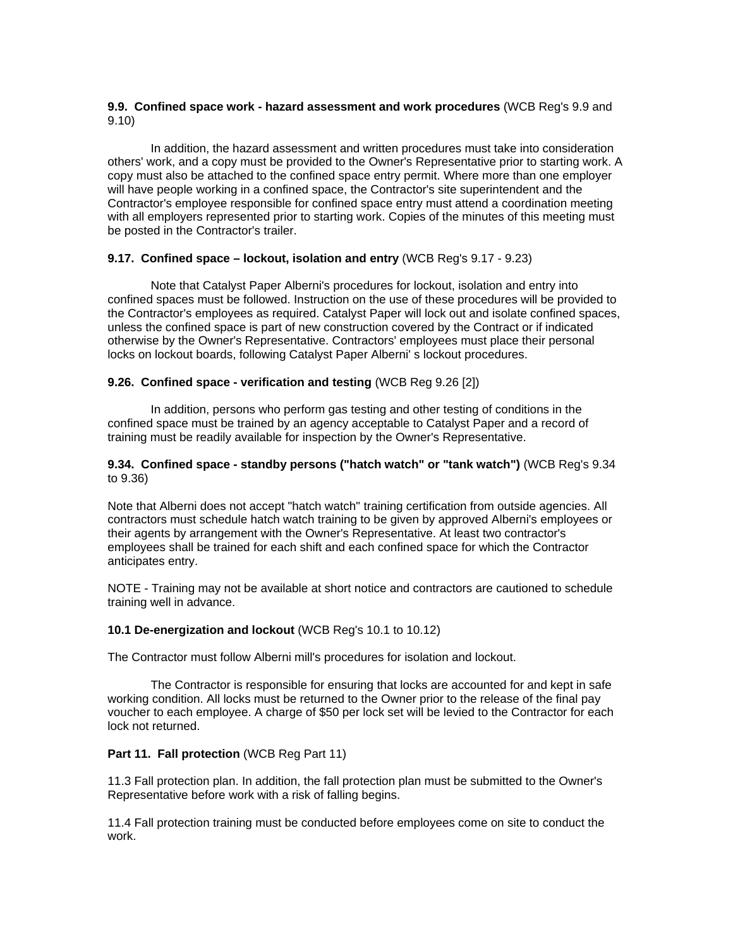#### **9.9. Confined space work - hazard assessment and work procedures** (WCB Reg's 9.9 and 9.10)

In addition, the hazard assessment and written procedures must take into consideration others' work, and a copy must be provided to the Owner's Representative prior to starting work. A copy must also be attached to the confined space entry permit. Where more than one employer will have people working in a confined space, the Contractor's site superintendent and the Contractor's employee responsible for confined space entry must attend a coordination meeting with all employers represented prior to starting work. Copies of the minutes of this meeting must be posted in the Contractor's trailer.

#### **9.17. Confined space – lockout, isolation and entry** (WCB Reg's 9.17 - 9.23)

Note that Catalyst Paper Alberni's procedures for lockout, isolation and entry into confined spaces must be followed. Instruction on the use of these procedures will be provided to the Contractor's employees as required. Catalyst Paper will lock out and isolate confined spaces, unless the confined space is part of new construction covered by the Contract or if indicated otherwise by the Owner's Representative. Contractors' employees must place their personal locks on lockout boards, following Catalyst Paper Alberni' s lockout procedures.

## **9.26. Confined space - verification and testing** (WCB Reg 9.26 [2])

In addition, persons who perform gas testing and other testing of conditions in the confined space must be trained by an agency acceptable to Catalyst Paper and a record of training must be readily available for inspection by the Owner's Representative.

#### **9.34. Confined space - standby persons ("hatch watch" or "tank watch")** (WCB Reg's 9.34 to 9.36)

Note that Alberni does not accept "hatch watch" training certification from outside agencies. All contractors must schedule hatch watch training to be given by approved Alberni's employees or their agents by arrangement with the Owner's Representative. At least two contractor's employees shall be trained for each shift and each confined space for which the Contractor anticipates entry.

NOTE - Training may not be available at short notice and contractors are cautioned to schedule training well in advance.

#### **10.1 De-energization and lockout** (WCB Reg's 10.1 to 10.12)

The Contractor must follow Alberni mill's procedures for isolation and lockout.

The Contractor is responsible for ensuring that locks are accounted for and kept in safe working condition. All locks must be returned to the Owner prior to the release of the final pay voucher to each employee. A charge of \$50 per lock set will be levied to the Contractor for each lock not returned.

#### **Part 11. Fall protection (WCB Reg Part 11)**

11.3 Fall protection plan. In addition, the fall protection plan must be submitted to the Owner's Representative before work with a risk of falling begins.

11.4 Fall protection training must be conducted before employees come on site to conduct the work.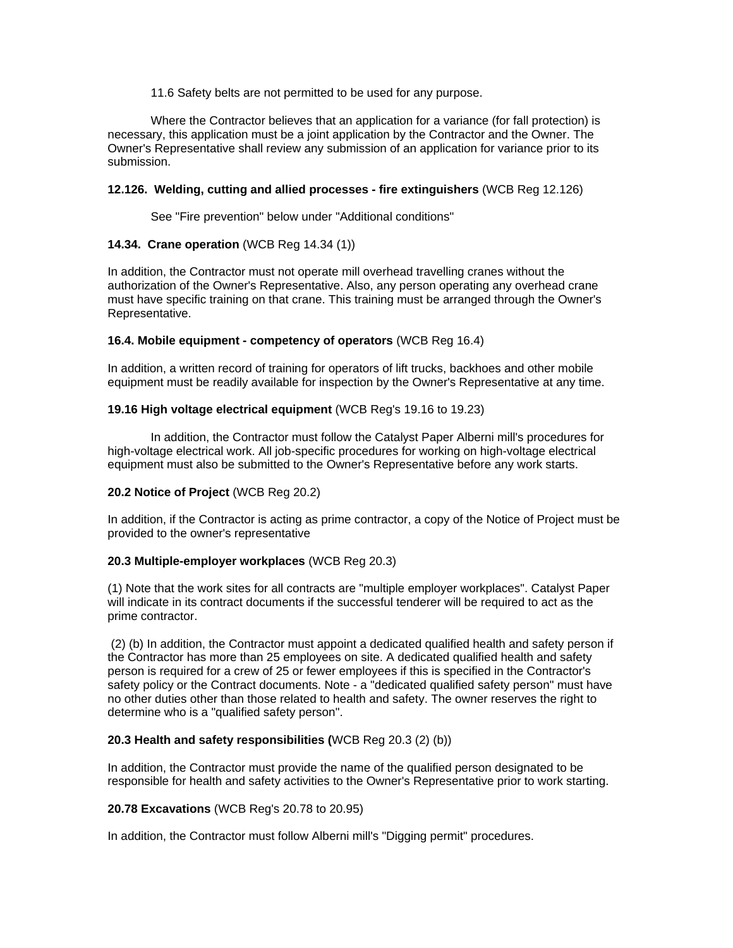11.6 Safety belts are not permitted to be used for any purpose.

Where the Contractor believes that an application for a variance (for fall protection) is necessary, this application must be a joint application by the Contractor and the Owner. The Owner's Representative shall review any submission of an application for variance prior to its submission.

## **12.126. Welding, cutting and allied processes - fire extinguishers** (WCB Reg 12.126)

See "Fire prevention" below under "Additional conditions"

## **14.34. Crane operation** (WCB Reg 14.34 (1))

In addition, the Contractor must not operate mill overhead travelling cranes without the authorization of the Owner's Representative. Also, any person operating any overhead crane must have specific training on that crane. This training must be arranged through the Owner's Representative.

#### **16.4. Mobile equipment - competency of operators** (WCB Reg 16.4)

In addition, a written record of training for operators of lift trucks, backhoes and other mobile equipment must be readily available for inspection by the Owner's Representative at any time.

## **19.16 High voltage electrical equipment** (WCB Reg's 19.16 to 19.23)

In addition, the Contractor must follow the Catalyst Paper Alberni mill's procedures for high-voltage electrical work. All job-specific procedures for working on high-voltage electrical equipment must also be submitted to the Owner's Representative before any work starts.

## **20.2 Notice of Project** (WCB Reg 20.2)

In addition, if the Contractor is acting as prime contractor, a copy of the Notice of Project must be provided to the owner's representative

## **20.3 Multiple-employer workplaces** (WCB Reg 20.3)

(1) Note that the work sites for all contracts are "multiple employer workplaces". Catalyst Paper will indicate in its contract documents if the successful tenderer will be required to act as the prime contractor.

 (2) (b) In addition, the Contractor must appoint a dedicated qualified health and safety person if the Contractor has more than 25 employees on site. A dedicated qualified health and safety person is required for a crew of 25 or fewer employees if this is specified in the Contractor's safety policy or the Contract documents. Note - a "dedicated qualified safety person" must have no other duties other than those related to health and safety. The owner reserves the right to determine who is a "qualified safety person".

## **20.3 Health and safety responsibilities (**WCB Reg 20.3 (2) (b))

In addition, the Contractor must provide the name of the qualified person designated to be responsible for health and safety activities to the Owner's Representative prior to work starting.

#### **20.78 Excavations** (WCB Reg's 20.78 to 20.95)

In addition, the Contractor must follow Alberni mill's "Digging permit" procedures.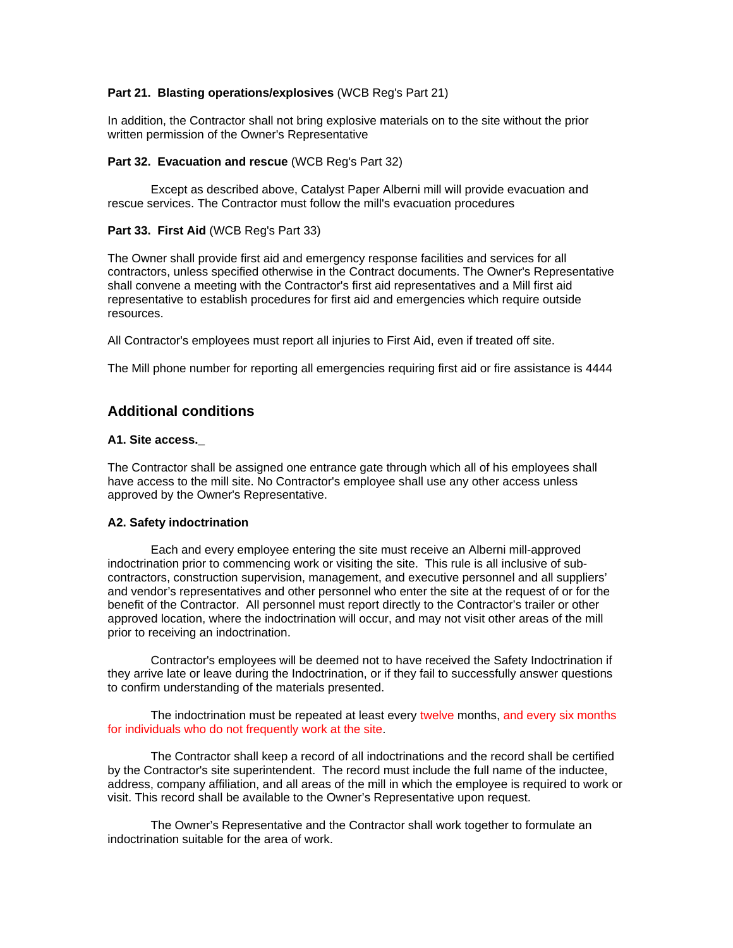## **Part 21. Blasting operations/explosives** (WCB Reg's Part 21)

In addition, the Contractor shall not bring explosive materials on to the site without the prior written permission of the Owner's Representative

#### **Part 32. Evacuation and rescue** (WCB Reg's Part 32)

Except as described above, Catalyst Paper Alberni mill will provide evacuation and rescue services. The Contractor must follow the mill's evacuation procedures

#### **Part 33. First Aid** (WCB Reg's Part 33)

The Owner shall provide first aid and emergency response facilities and services for all contractors, unless specified otherwise in the Contract documents. The Owner's Representative shall convene a meeting with the Contractor's first aid representatives and a Mill first aid representative to establish procedures for first aid and emergencies which require outside resources.

All Contractor's employees must report all injuries to First Aid, even if treated off site.

The Mill phone number for reporting all emergencies requiring first aid or fire assistance is 4444

# **Additional conditions**

#### **A1. Site access.\_**

The Contractor shall be assigned one entrance gate through which all of his employees shall have access to the mill site. No Contractor's employee shall use any other access unless approved by the Owner's Representative.

#### **A2. Safety indoctrination**

Each and every employee entering the site must receive an Alberni mill-approved indoctrination prior to commencing work or visiting the site. This rule is all inclusive of subcontractors, construction supervision, management, and executive personnel and all suppliers' and vendor's representatives and other personnel who enter the site at the request of or for the benefit of the Contractor. All personnel must report directly to the Contractor's trailer or other approved location, where the indoctrination will occur, and may not visit other areas of the mill prior to receiving an indoctrination.

Contractor's employees will be deemed not to have received the Safety Indoctrination if they arrive late or leave during the Indoctrination, or if they fail to successfully answer questions to confirm understanding of the materials presented.

The indoctrination must be repeated at least every twelve months, and every six months for individuals who do not frequently work at the site.

The Contractor shall keep a record of all indoctrinations and the record shall be certified by the Contractor's site superintendent. The record must include the full name of the inductee, address, company affiliation, and all areas of the mill in which the employee is required to work or visit. This record shall be available to the Owner's Representative upon request.

The Owner's Representative and the Contractor shall work together to formulate an indoctrination suitable for the area of work.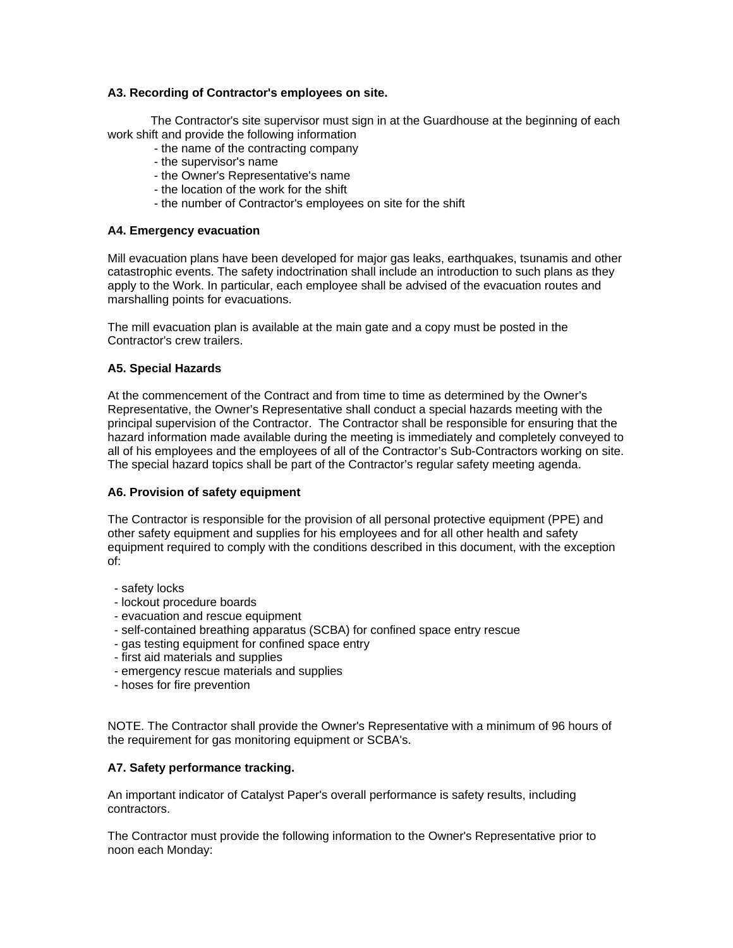## **A3. Recording of Contractor's employees on site.**

The Contractor's site supervisor must sign in at the Guardhouse at the beginning of each work shift and provide the following information

- the name of the contracting company
- the supervisor's name
- the Owner's Representative's name
- the location of the work for the shift
- the number of Contractor's employees on site for the shift

#### **A4. Emergency evacuation**

Mill evacuation plans have been developed for major gas leaks, earthquakes, tsunamis and other catastrophic events. The safety indoctrination shall include an introduction to such plans as they apply to the Work. In particular, each employee shall be advised of the evacuation routes and marshalling points for evacuations.

The mill evacuation plan is available at the main gate and a copy must be posted in the Contractor's crew trailers.

#### **A5. Special Hazards**

At the commencement of the Contract and from time to time as determined by the Owner's Representative, the Owner's Representative shall conduct a special hazards meeting with the principal supervision of the Contractor. The Contractor shall be responsible for ensuring that the hazard information made available during the meeting is immediately and completely conveyed to all of his employees and the employees of all of the Contractor's Sub-Contractors working on site. The special hazard topics shall be part of the Contractor's regular safety meeting agenda.

#### **A6. Provision of safety equipment**

The Contractor is responsible for the provision of all personal protective equipment (PPE) and other safety equipment and supplies for his employees and for all other health and safety equipment required to comply with the conditions described in this document, with the exception of:

- safety locks
- lockout procedure boards
- evacuation and rescue equipment
- self-contained breathing apparatus (SCBA) for confined space entry rescue
- gas testing equipment for confined space entry
- first aid materials and supplies
- emergency rescue materials and supplies
- hoses for fire prevention

NOTE. The Contractor shall provide the Owner's Representative with a minimum of 96 hours of the requirement for gas monitoring equipment or SCBA's.

## **A7. Safety performance tracking.**

An important indicator of Catalyst Paper's overall performance is safety results, including contractors.

The Contractor must provide the following information to the Owner's Representative prior to noon each Monday: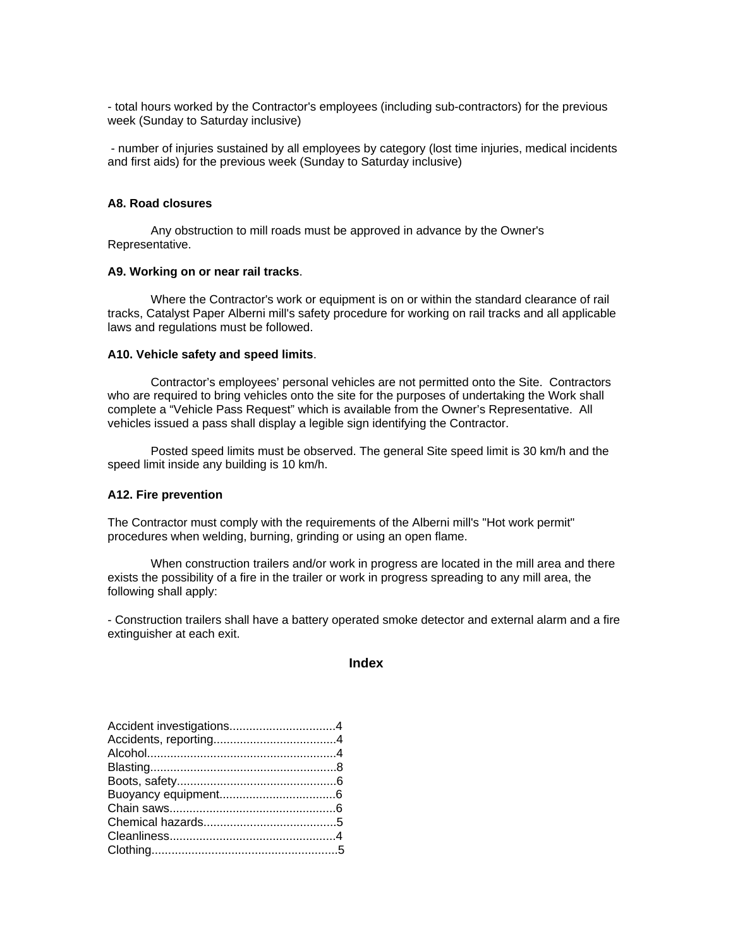- total hours worked by the Contractor's employees (including sub-contractors) for the previous week (Sunday to Saturday inclusive)

 - number of injuries sustained by all employees by category (lost time injuries, medical incidents and first aids) for the previous week (Sunday to Saturday inclusive)

#### **A8. Road closures**

Any obstruction to mill roads must be approved in advance by the Owner's Representative.

#### **A9. Working on or near rail tracks**.

Where the Contractor's work or equipment is on or within the standard clearance of rail tracks, Catalyst Paper Alberni mill's safety procedure for working on rail tracks and all applicable laws and regulations must be followed.

#### **A10. Vehicle safety and speed limits**.

Contractor's employees' personal vehicles are not permitted onto the Site. Contractors who are required to bring vehicles onto the site for the purposes of undertaking the Work shall complete a "Vehicle Pass Request" which is available from the Owner's Representative. All vehicles issued a pass shall display a legible sign identifying the Contractor.

Posted speed limits must be observed. The general Site speed limit is 30 km/h and the speed limit inside any building is 10 km/h.

#### **A12. Fire prevention**

The Contractor must comply with the requirements of the Alberni mill's "Hot work permit" procedures when welding, burning, grinding or using an open flame.

When construction trailers and/or work in progress are located in the mill area and there exists the possibility of a fire in the trailer or work in progress spreading to any mill area, the following shall apply:

- Construction trailers shall have a battery operated smoke detector and external alarm and a fire extinguisher at each exit.

#### **Index**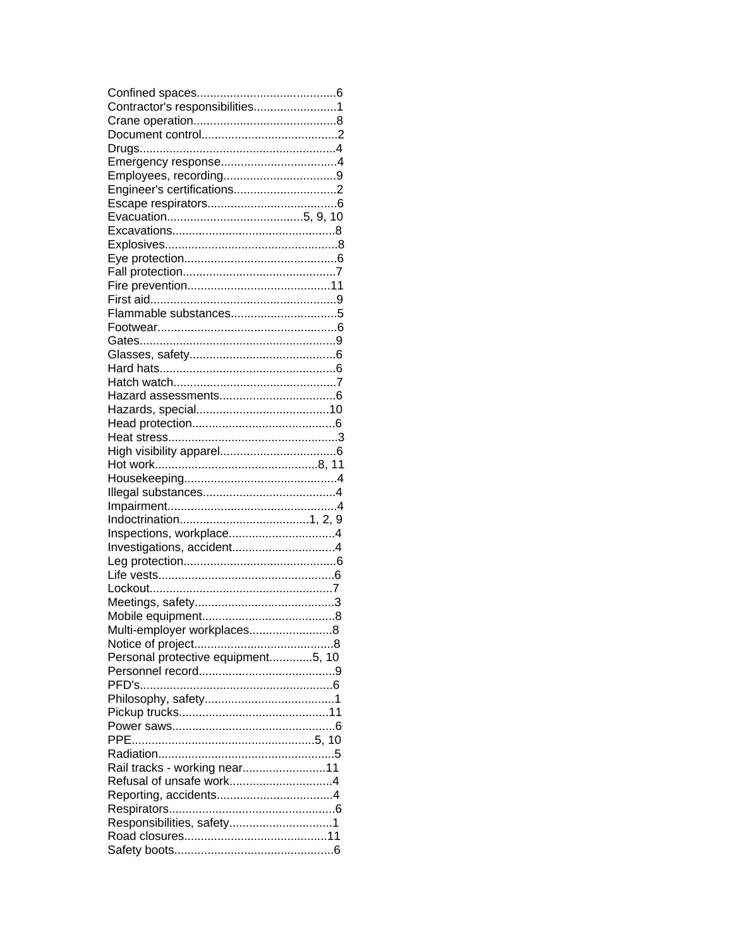| Contractor's responsibilities1     |  |
|------------------------------------|--|
|                                    |  |
|                                    |  |
|                                    |  |
|                                    |  |
|                                    |  |
|                                    |  |
|                                    |  |
|                                    |  |
|                                    |  |
|                                    |  |
|                                    |  |
|                                    |  |
|                                    |  |
|                                    |  |
|                                    |  |
|                                    |  |
|                                    |  |
|                                    |  |
|                                    |  |
|                                    |  |
|                                    |  |
|                                    |  |
|                                    |  |
|                                    |  |
|                                    |  |
|                                    |  |
|                                    |  |
|                                    |  |
|                                    |  |
|                                    |  |
|                                    |  |
|                                    |  |
|                                    |  |
|                                    |  |
|                                    |  |
|                                    |  |
|                                    |  |
|                                    |  |
|                                    |  |
| Multi-employer workplaces8         |  |
|                                    |  |
| Personal protective equipment5, 10 |  |
|                                    |  |
|                                    |  |
|                                    |  |
|                                    |  |
|                                    |  |
|                                    |  |
|                                    |  |
|                                    |  |
| Rail tracks - working near11       |  |
| Refusal of unsafe work4            |  |
|                                    |  |
|                                    |  |
| Responsibilities, safety1          |  |
|                                    |  |
|                                    |  |
|                                    |  |